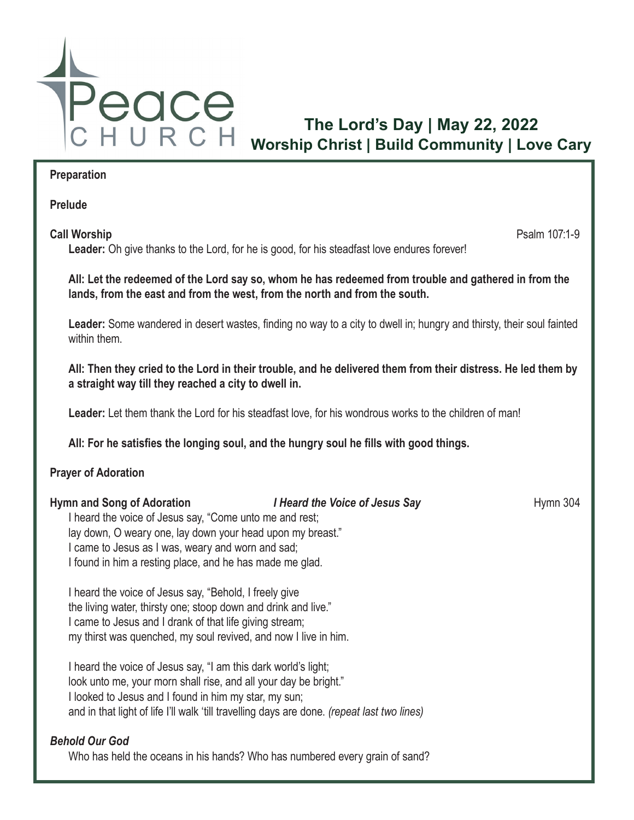

# **The Lord's Day | May 22, 2022 Worship Christ | Build Community | Love Cary**

**Preparation**

**Prelude**

**Call Worship** Psalm 107:1-9

Leader: Oh give thanks to the Lord, for he is good, for his steadfast love endures forever!

**All: Let the redeemed of the Lord say so, whom he has redeemed from trouble and gathered in from the lands, from the east and from the west, from the north and from the south.**

**Leader:** Some wandered in desert wastes, finding no way to a city to dwell in; hungry and thirsty, their soul fainted within them.

**All: Then they cried to the Lord in their trouble, and he delivered them from their distress. He led them by a straight way till they reached a city to dwell in.**

**Leader:** Let them thank the Lord for his steadfast love, for his wondrous works to the children of man!

**All: For he satisfies the longing soul, and the hungry soul he fills with good things.**

### **Prayer of Adoration**

### **Hymn and Song of Adoration** *I Heard the Voice of Jesus Say* **<b>Hymn 304**

I heard the voice of Jesus say, "Come unto me and rest; lay down, O weary one, lay down your head upon my breast." I came to Jesus as I was, weary and worn and sad; I found in him a resting place, and he has made me glad.

I heard the voice of Jesus say, "Behold, I freely give the living water, thirsty one; stoop down and drink and live." I came to Jesus and I drank of that life giving stream; my thirst was quenched, my soul revived, and now I live in him.

I heard the voice of Jesus say, "I am this dark world's light; look unto me, your morn shall rise, and all your day be bright." I looked to Jesus and I found in him my star, my sun; and in that light of life I'll walk 'till travelling days are done. *(repeat last two lines)*

### *Behold Our God*

Who has held the oceans in his hands? Who has numbered every grain of sand?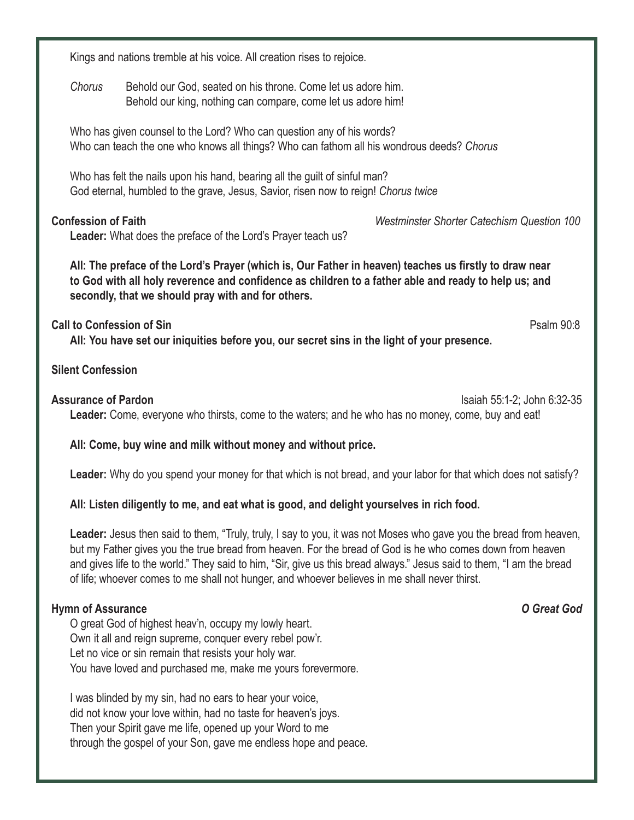Who has felt the nails upon his hand, bearing all the guilt of sinful man? **Confession of Faith** *Westminster Shorter Catechism Question 100* **Leader:** What does the preface of the Lord's Prayer teach us? **All: The preface of the Lord's Prayer (which is, Our Father in heaven) teaches us firstly to draw near to God with all holy reverence and confidence as children to a father able and ready to help us; and secondly, that we should pray with and for others. Call to Confession of Sin** Psalm 90:8 **All: You have set our iniquities before you, our secret sins in the light of your presence.**

#### **Silent Confession**

#### **Assurance of Pardon** Isaiah 55:1-2; John 6:32-35

**Leader:** Come, everyone who thirsts, come to the waters; and he who has no money, come, buy and eat!

#### **All: Come, buy wine and milk without money and without price.**

**Leader:** Why do you spend your money for that which is not bread, and your labor for that which does not satisfy?

#### **All: Listen diligently to me, and eat what is good, and delight yourselves in rich food.**

**Leader:** Jesus then said to them, "Truly, truly, I say to you, it was not Moses who gave you the bread from heaven, but my Father gives you the true bread from heaven. For the bread of God is he who comes down from heaven and gives life to the world." They said to him, "Sir, give us this bread always." Jesus said to them, "I am the bread of life; whoever comes to me shall not hunger, and whoever believes in me shall never thirst.

#### **Hymn of Assurance** *O Great God*

O great God of highest heav'n, occupy my lowly heart. Own it all and reign supreme, conquer every rebel pow'r. Let no vice or sin remain that resists your holy war. You have loved and purchased me, make me yours forevermore.

I was blinded by my sin, had no ears to hear your voice, did not know your love within, had no taste for heaven's joys. Then your Spirit gave me life, opened up your Word to me through the gospel of your Son, gave me endless hope and peace.

Kings and nations tremble at his voice. All creation rises to rejoice.

*Chorus* Behold our God, seated on his throne. Come let us adore him. Behold our king, nothing can compare, come let us adore him!

Who has given counsel to the Lord? Who can question any of his words?

Who can teach the one who knows all things? Who can fathom all his wondrous deeds? *Chorus*

God eternal, humbled to the grave, Jesus, Savior, risen now to reign! *Chorus twice*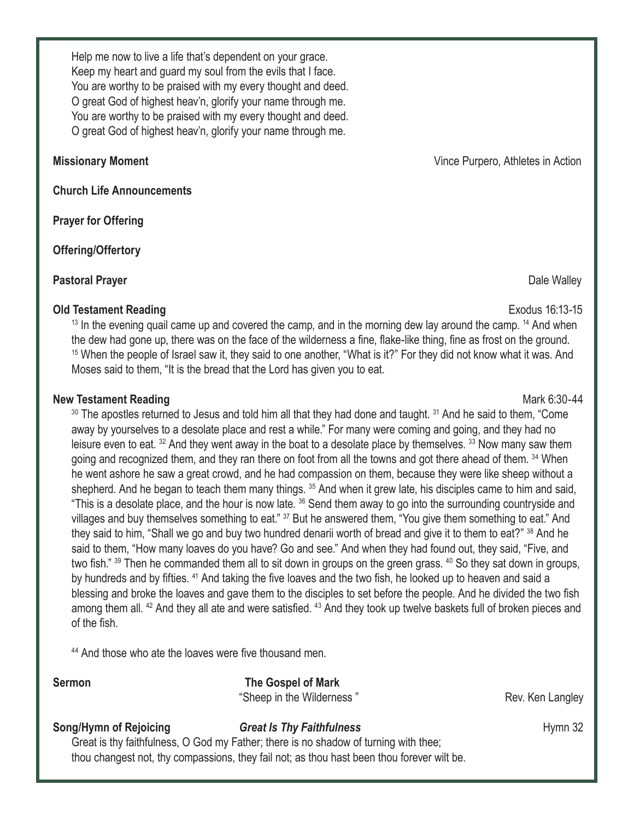Help me now to live a life that's dependent on your grace. Keep my heart and guard my soul from the evils that I face. You are worthy to be praised with my every thought and deed. O great God of highest heav'n, glorify your name through me. You are worthy to be praised with my every thought and deed. O great God of highest heav'n, glorify your name through me.

**Missionary Moment** Vince Purpero, Athletes in Action

**Church Life Announcements**

**Prayer for Offering**

**Offering/Offertory**

**Pastoral Prayer** Dale Walley

#### **Old Testament Reading COLORED 2018 16:13-15**

 $13$  In the evening quail came up and covered the camp, and in the morning dew lay around the camp.  $14$  And when the dew had gone up, there was on the face of the wilderness a fine, flake-like thing, fine as frost on the ground. <sup>15</sup> When the people of Israel saw it, they said to one another, "What is it?" For they did not know what it was. And Moses said to them, "It is the bread that the Lord has given you to eat.

### **New Testament Reading Contract According to the Contract According Contract According Mark 6:30-44**

 $30$  The apostles returned to Jesus and told him all that they had done and taught.  $31$  And he said to them, "Come away by yourselves to a desolate place and rest a while." For many were coming and going, and they had no leisure even to eat. 32 And they went away in the boat to a desolate place by themselves. 33 Now many saw them going and recognized them, and they ran there on foot from all the towns and got there ahead of them. 34 When he went ashore he saw a great crowd, and he had compassion on them, because they were like sheep without a shepherd. And he began to teach them many things. 35 And when it grew late, his disciples came to him and said, "This is a desolate place, and the hour is now late. <sup>36</sup> Send them away to go into the surrounding countryside and villages and buy themselves something to eat." 37 But he answered them, "You give them something to eat." And they said to him, "Shall we go and buy two hundred denarii worth of bread and give it to them to eat?" 38 And he said to them, "How many loaves do you have? Go and see." And when they had found out, they said, "Five, and two fish." 39 Then he commanded them all to sit down in groups on the green grass. 40 So they sat down in groups, by hundreds and by fifties. <sup>41</sup> And taking the five loaves and the two fish, he looked up to heaven and said a blessing and broke the loaves and gave them to the disciples to set before the people. And he divided the two fish among them all. <sup>42</sup> And they all ate and were satisfied. <sup>43</sup> And they took up twelve baskets full of broken pieces and of the fish.

<sup>44</sup> And those who ate the loaves were five thousand men.

**Sermon The Gospel of Mark**  "Sheep in the Wilderness " The Contract of the Rev. Ken Langley

### **Song/Hymn of Rejoicing** *Great Is Thy Faithfulness* **<b>Example 2** Hymn 32

Great is thy faithfulness, O God my Father; there is no shadow of turning with thee; thou changest not, thy compassions, they fail not; as thou hast been thou forever wilt be.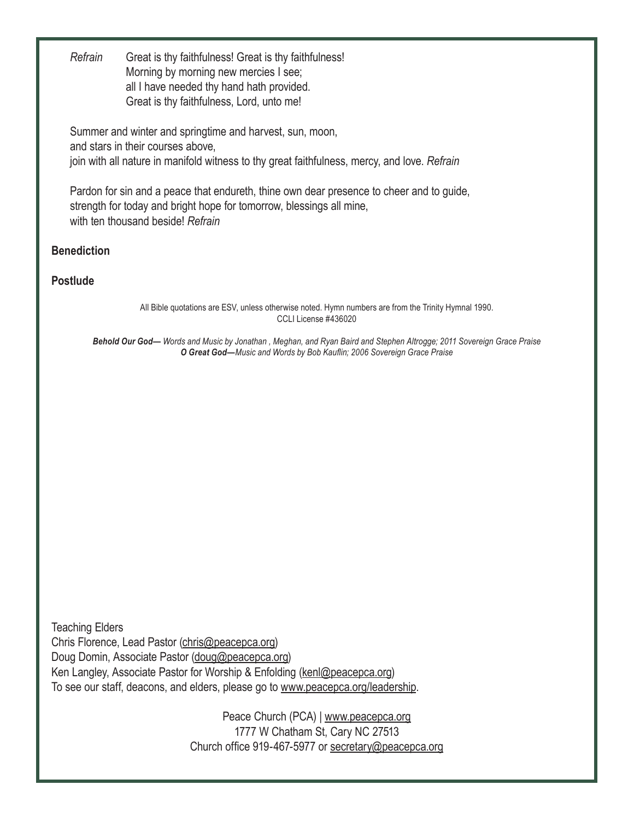*Refrain* Great is thy faithfulness! Great is thy faithfulness! Morning by morning new mercies I see; all I have needed thy hand hath provided. Great is thy faithfulness, Lord, unto me!

Summer and winter and springtime and harvest, sun, moon, and stars in their courses above, join with all nature in manifold witness to thy great faithfulness, mercy, and love. *Refrain*

Pardon for sin and a peace that endureth, thine own dear presence to cheer and to guide, strength for today and bright hope for tomorrow, blessings all mine, with ten thousand beside! *Refrain*

**Benediction**

**Postlude**

All Bible quotations are ESV, unless otherwise noted. Hymn numbers are from the Trinity Hymnal 1990. CCLI License #436020

*Behold Our God— Words and Music by Jonathan , Meghan, and Ryan Baird and Stephen Altrogge; 2011 Sovereign Grace Praise O Great God—Music and Words by Bob Kauflin; 2006 Sovereign Grace Praise*

Teaching Elders Chris Florence, Lead Pastor (chris@peacepca.org) Doug Domin, Associate Pastor (doug@peacepca.org) Ken Langley, Associate Pastor for Worship & Enfolding (kenl@peacepca.org) To see our staff, deacons, and elders, please go to www.peacepca.org/leadership.

> Peace Church (PCA) | www.peacepca.org 1777 W Chatham St, Cary NC 27513 Church office 919-467-5977 or secretary@peacepca.org